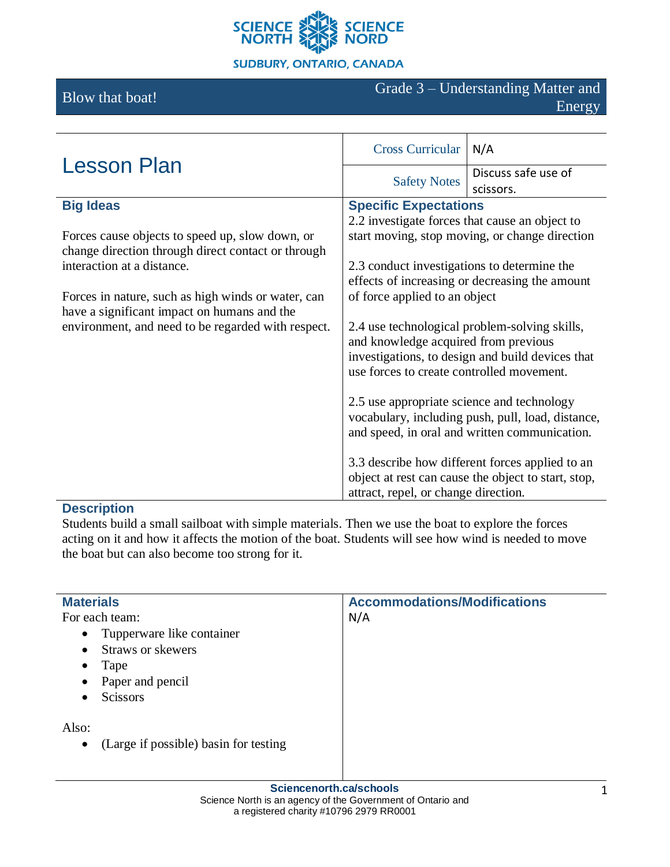

# **SUDBURY, ONTARIO, CANADA**

# Blow that boat! Grade 3 – Understanding Matter and Energy

| <b>Lesson Plan</b>                                 | <b>Cross Curricular</b>                                                                       | N/A                                                                                                    |
|----------------------------------------------------|-----------------------------------------------------------------------------------------------|--------------------------------------------------------------------------------------------------------|
|                                                    | <b>Safety Notes</b>                                                                           | Discuss safe use of                                                                                    |
|                                                    |                                                                                               | scissors.                                                                                              |
| <b>Big Ideas</b>                                   | <b>Specific Expectations</b>                                                                  |                                                                                                        |
|                                                    | 2.2 investigate forces that cause an object to                                                |                                                                                                        |
| Forces cause objects to speed up, slow down, or    | start moving, stop moving, or change direction                                                |                                                                                                        |
| change direction through direct contact or through |                                                                                               |                                                                                                        |
| interaction at a distance.                         | 2.3 conduct investigations to determine the                                                   |                                                                                                        |
|                                                    |                                                                                               | effects of increasing or decreasing the amount                                                         |
| Forces in nature, such as high winds or water, can | of force applied to an object                                                                 |                                                                                                        |
| have a significant impact on humans and the        |                                                                                               |                                                                                                        |
| environment, and need to be regarded with respect. | 2.4 use technological problem-solving skills,                                                 |                                                                                                        |
|                                                    | and knowledge acquired from previous                                                          |                                                                                                        |
|                                                    | investigations, to design and build devices that<br>use forces to create controlled movement. |                                                                                                        |
|                                                    |                                                                                               |                                                                                                        |
|                                                    | 2.5 use appropriate science and technology                                                    | vocabulary, including push, pull, load, distance,<br>and speed, in oral and written communication.     |
|                                                    | attract, repel, or change direction.                                                          | 3.3 describe how different forces applied to an<br>object at rest can cause the object to start, stop, |

# **Description**

Students build a small sailboat with simple materials. Then we use the boat to explore the forces acting on it and how it affects the motion of the boat. Students will see how wind is needed to move the boat but can also become too strong for it.

| <b>Materials</b>                                   | <b>Accommodations/Modifications</b> |
|----------------------------------------------------|-------------------------------------|
| For each team:                                     | N/A                                 |
| Tupperware like container<br>$\bullet$             |                                     |
| Straws or skewers<br>$\bullet$                     |                                     |
| Tape<br>$\bullet$                                  |                                     |
| Paper and pencil<br>$\bullet$                      |                                     |
| <b>Scissors</b><br>٠                               |                                     |
| Also:                                              |                                     |
| (Large if possible) basin for testing<br>$\bullet$ |                                     |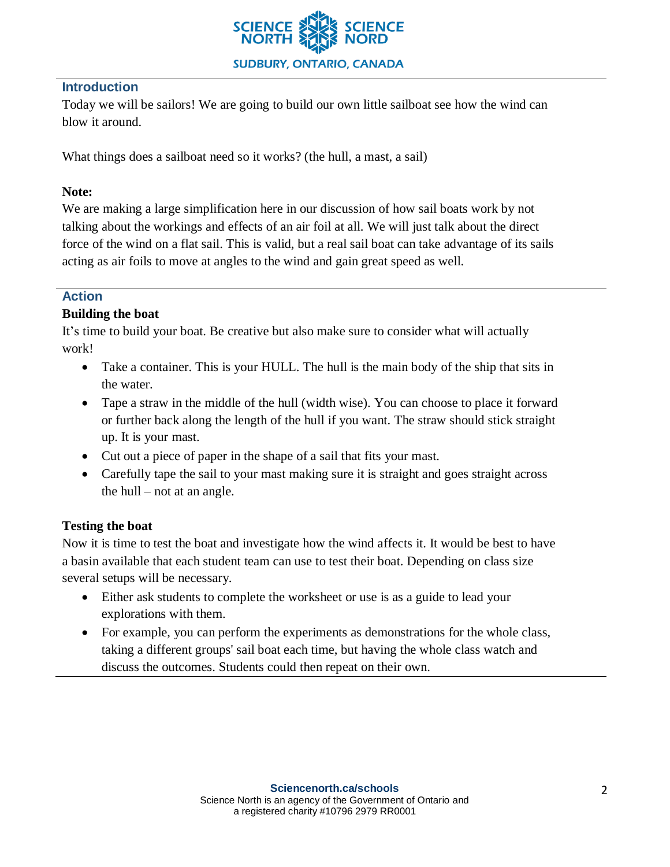

#### **Introduction**

Today we will be sailors! We are going to build our own little sailboat see how the wind can blow it around.

What things does a sailboat need so it works? (the hull, a mast, a sail)

### **Note:**

We are making a large simplification here in our discussion of how sail boats work by not talking about the workings and effects of an air foil at all. We will just talk about the direct force of the wind on a flat sail. This is valid, but a real sail boat can take advantage of its sails acting as air foils to move at angles to the wind and gain great speed as well.

# **Action**

# **Building the boat**

It's time to build your boat. Be creative but also make sure to consider what will actually work!

- Take a container. This is your HULL. The hull is the main body of the ship that sits in the water.
- Tape a straw in the middle of the hull (width wise). You can choose to place it forward or further back along the length of the hull if you want. The straw should stick straight up. It is your mast.
- Cut out a piece of paper in the shape of a sail that fits your mast.
- Carefully tape the sail to your mast making sure it is straight and goes straight across the hull – not at an angle.

#### **Testing the boat**

Now it is time to test the boat and investigate how the wind affects it. It would be best to have a basin available that each student team can use to test their boat. Depending on class size several setups will be necessary.

- Either ask students to complete the worksheet or use is as a guide to lead your explorations with them.
- For example, you can perform the experiments as demonstrations for the whole class, taking a different groups' sail boat each time, but having the whole class watch and discuss the outcomes. Students could then repeat on their own.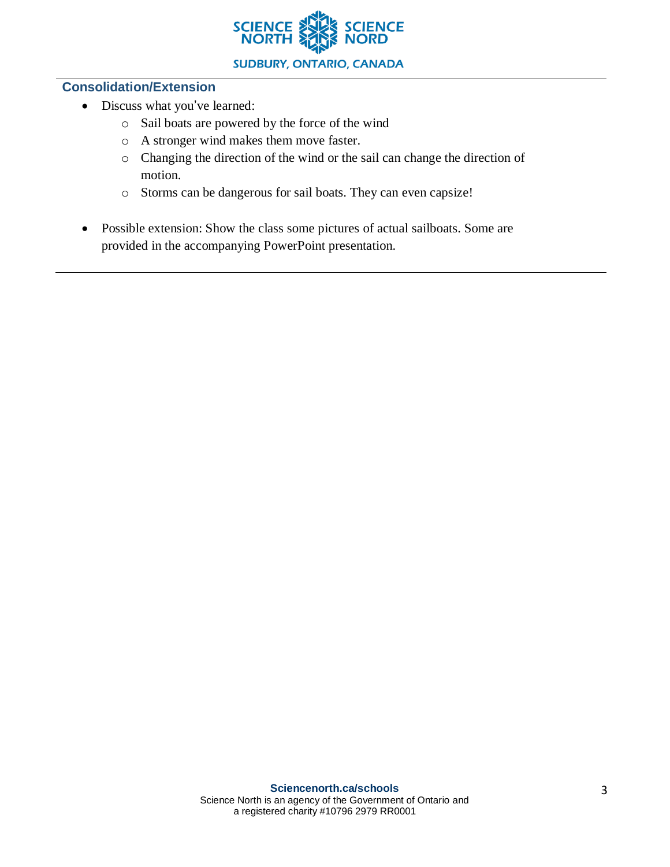

#### **Consolidation/Extension**

- Discuss what you've learned:
	- o Sail boats are powered by the force of the wind
	- o A stronger wind makes them move faster.
	- o Changing the direction of the wind or the sail can change the direction of motion.
	- o Storms can be dangerous for sail boats. They can even capsize!
- Possible extension: Show the class some pictures of actual sailboats. Some are provided in the accompanying PowerPoint presentation.